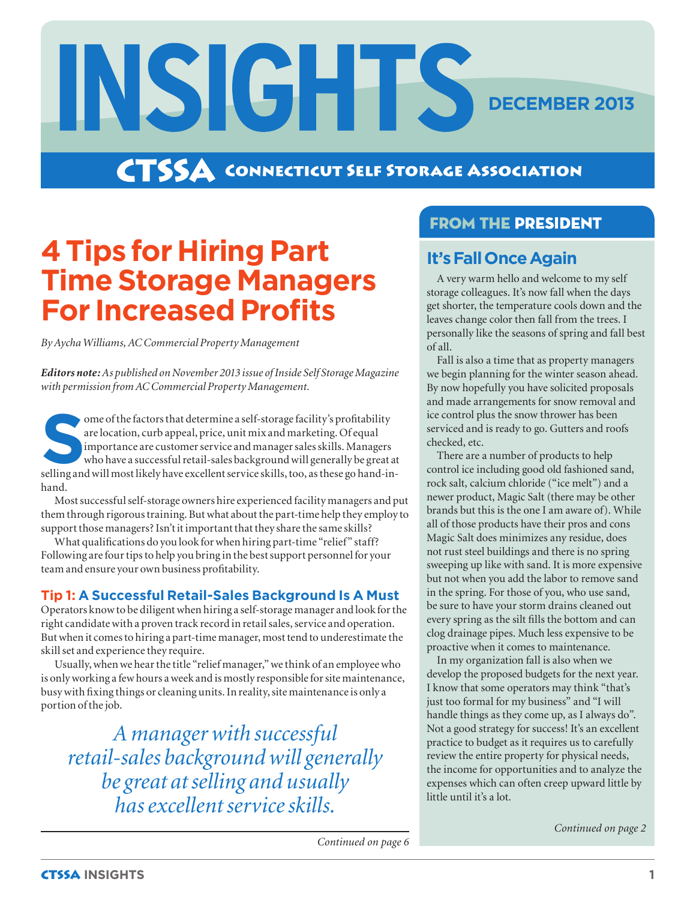**CTSSA** CONNECTICUT SELF STORAGE ASSOCIATION

# **4 Tips for Hiring Part Time Storage Managers For Increased Profits**

INSIGHTS

*By Aycha Williams, AC Commercial Property Management*

*Editors note: As published on November 2013 issue of Inside Self Storage Magazine with permission from AC Commercial Property Management.*

For ome of the factors that determine a self-storage facility's profitability are location, curb appeal, price, unit mix and marketing. Of equal importance are customer service and manager sales skills. Managers who have a are location, curb appeal, price, unit mix and marketing. Of equal importance are customer service and manager sales skills. Managers who have a successful retail-sales background will generally be great at hand.

Most successful self-storage owners hire experienced facility managers and put them through rigorous training. But what about the part-time help they employ to support those managers? Isn't it important that they share the same skills?

What qualifications do you look for when hiring part-time "relief" staff? Following are four tips to help you bring in the best support personnel for your team and ensure your own business profitability.

#### **Tip 1: A Successful Retail-Sales Background Is A Must**

Operators know to be diligent when hiring a self-storage manager and look for the right candidate with a proven track record in retail sales, service and operation. But when it comes to hiring a part-time manager, most tend to underestimate the skill set and experience they require.

Usually, when we hear the title "relief manager," we think of an employee who is only working a few hours a week and is mostly responsible for site maintenance, busy with fixing things or cleaning units. In reality, site maintenance is only a portion of the job.

*A manager with successful retail-sales background will generally be great at selling and usually has excellent service skills.*

## **FROM THE PRESIDENT**

## **It's Fall Once Again**

A very warm hello and welcome to my self storage colleagues. It's now fall when the days get shorter, the temperature cools down and the leaves change color then fall from the trees. I personally like the seasons of spring and fall best of all.

**DECEMBER 2013**

Fall is also a time that as property managers we begin planning for the winter season ahead. By now hopefully you have solicited proposals and made arrangements for snow removal and ice control plus the snow thrower has been serviced and is ready to go. Gutters and roofs checked, etc.

There are a number of products to help control ice including good old fashioned sand, rock salt, calcium chloride ("ice melt") and a newer product, Magic Salt (there may be other brands but this is the one I am aware of). While all of those products have their pros and cons Magic Salt does minimizes any residue, does not rust steel buildings and there is no spring sweeping up like with sand. It is more expensive but not when you add the labor to remove sand in the spring. For those of you, who use sand, be sure to have your storm drains cleaned out every spring as the silt fills the bottom and can clog drainage pipes. Much less expensive to be proactive when it comes to maintenance.

In my organization fall is also when we develop the proposed budgets for the next year. I know that some operators may think "that's just too formal for my business" and "I will handle things as they come up, as I always do". Not a good strategy for success! It's an excellent practice to budget as it requires us to carefully review the entire property for physical needs, the income for opportunities and to analyze the expenses which can often creep upward little by little until it's a lot.

*Continued on page 2*

*Continued on page 6*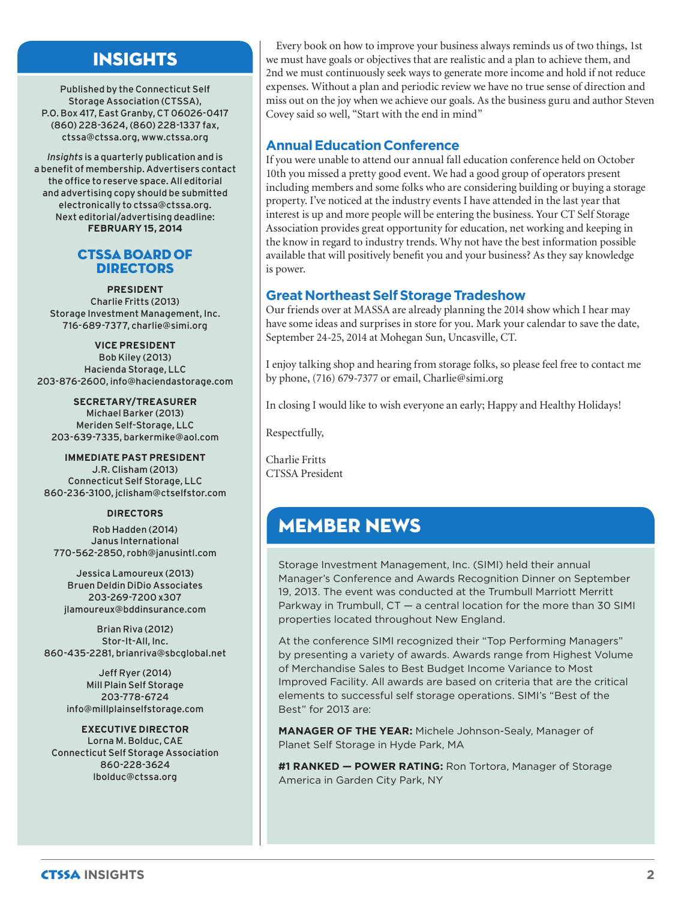## INSIGHTS

Published by the Connecticut Self Storage Association (CTSSA), P.O. Box 417, East Granby, CT 06026-0417 (860) 228-3624, (860) 228-1337 fax, ctssa@ctssa.org, www.ctssa.org

*Insights* is a quarterly publication and is a benefit of membership. Advertisers contact the office to reserve space. All editorial and advertising copy should be submitted electronically to ctssa@ctssa.org. Next editorial/advertising deadline: **FEBRUARY 15, 2014**

#### CTSSA Board of **DIRECTORS**

**PRESIDENT** Charlie Fritts (2013) Storage Investment Management, Inc. 716-689-7377, charlie@simi.org

**VICE PRESIDENT** Bob Kiley (2013) Hacienda Storage, LLC 203-876-2600, info@haciendastorage.com

**SECRETARY/TREASURER** Michael Barker (2013) Meriden Self-Storage, LLC 203-639-7335, barkermike@aol.com

**IMMEDIATE PAST PRESIDENT** J.R. Clisham (2013) Connecticut Self Storage, LLC 860-236-3100, jclisham@ctselfstor.com

#### **DIRECTORS**

Rob Hadden (2014) Janus International 770-562-2850, robh@janusintl.com

Jessica Lamoureux (2013) Bruen Deldin DiDio Associates 203-269-7200 x307 jlamoureux@bddinsurance.com

Brian Riva (2012) Stor-It-All, Inc. 860-435-2281, brianriva@sbcglobal.net

> Jeff Ryer (2014) Mill Plain Self Storage 203-778-6724 info@millplainselfstorage.com

**EXECUTIVE DIRECTOR** Lorna M. Bolduc, CAE Connecticut Self Storage Association 860-228-3624 lbolduc@ctssa.org

Every book on how to improve your business always reminds us of two things, 1st we must have goals or objectives that are realistic and a plan to achieve them, and 2nd we must continuously seek ways to generate more income and hold if not reduce expenses. Without a plan and periodic review we have no true sense of direction and miss out on the joy when we achieve our goals. As the business guru and author Steven Covey said so well, "Start with the end in mind"

#### **Annual Education Conference**

If you were unable to attend our annual fall education conference held on October 10th you missed a pretty good event. We had a good group of operators present including members and some folks who are considering building or buying a storage property. I've noticed at the industry events I have attended in the last year that interest is up and more people will be entering the business. Your CT Self Storage Association provides great opportunity for education, net working and keeping in the know in regard to industry trends. Why not have the best information possible available that will positively benefit you and your business? As they say knowledge is power.

#### **Great Northeast Self Storage Tradeshow**

Our friends over at MASSA are already planning the 2014 show which I hear may have some ideas and surprises in store for you. Mark your calendar to save the date, September 24-25, 2014 at Mohegan Sun, Uncasville, CT.

I enjoy talking shop and hearing from storage folks, so please feel free to contact me by phone, (716) 679-7377 or email, Charlie@simi.org

In closing I would like to wish everyone an early; Happy and Healthy Holidays!

Respectfully,

Charlie Fritts CTSSA President

## MEMBER NEWS

Storage Investment Management, Inc. (SIMI) held their annual Manager's Conference and Awards Recognition Dinner on September 19, 2013. The event was conducted at the Trumbull Marriott Merritt Parkway in Trumbull, CT — a central location for the more than 30 SIMI properties located throughout New England.

At the conference SIMI recognized their "Top Performing Managers" by presenting a variety of awards. Awards range from Highest Volume of Merchandise Sales to Best Budget Income Variance to Most Improved Facility. All awards are based on criteria that are the critical elements to successful self storage operations. SIMI's "Best of the Best" for 2013 are:

**MANAGER OF THE YEAR:** Michele Johnson-Sealy, Manager of Planet Self Storage in Hyde Park, MA

**#1 RANKED — POWER RATING:** Ron Tortora, Manager of Storage America in Garden City Park, NY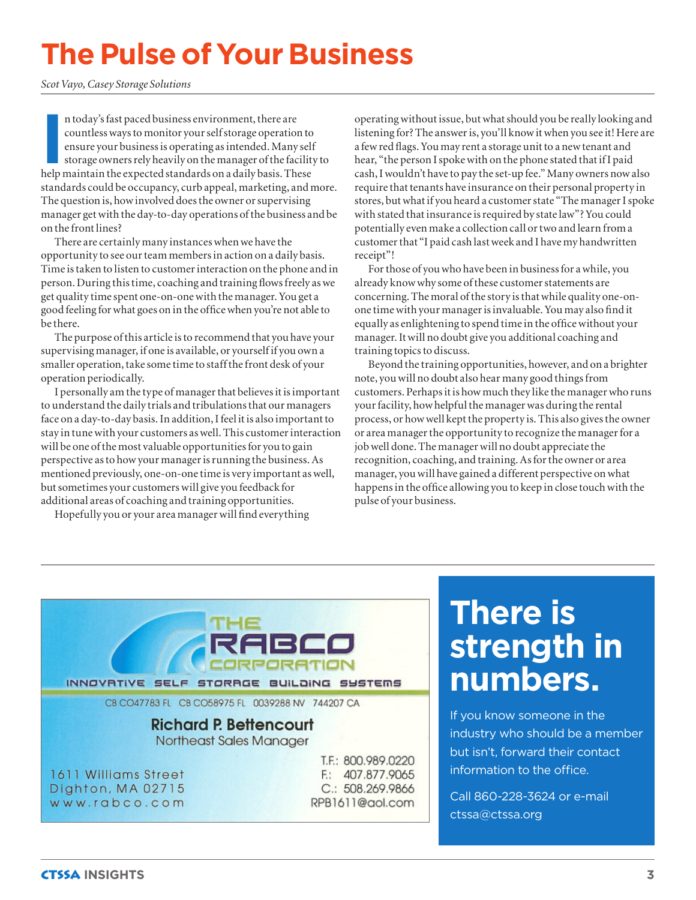# **The Pulse of Your Business**

*Scot Vayo, Casey Storage Solutions*

In today's fast paced business environment, there are countless ways to monitor your self storage operation to ensure your business is operating as intended. Many self storage owners rely heavily on the manager of the faci n today's fast paced business environment, there are countless ways to monitor your self storage operation to ensure your business is operating as intended. Many self storage owners rely heavily on the manager of the facility to standards could be occupancy, curb appeal, marketing, and more. The question is, how involved does the owner or supervising manager get with the day-to-day operations of the business and be on the front lines?

There are certainly many instances when we have the opportunity to see our team members in action on a daily basis. Time is taken to listen to customer interaction on the phone and in person. During this time, coaching and training flows freely as we get quality time spent one-on-one with the manager. You get a good feeling for what goes on in the office when you're not able to be there.

The purpose of this article is to recommend that you have your supervising manager, if one is available, or yourself if you own a smaller operation, take some time to staff the front desk of your operation periodically.

I personally am the type of manager that believes it is important to understand the daily trials and tribulations that our managers face on a day-to-day basis. In addition, I feel it is also important to stay in tune with your customers as well. This customer interaction will be one of the most valuable opportunities for you to gain perspective as to how your manager is running the business. As mentioned previously, one-on-one time is very important as well, but sometimes your customers will give you feedback for additional areas of coaching and training opportunities.

Hopefully you or your area manager will find everything

operating without issue, but what should you be really looking and listening for? The answer is, you'll know it when you see it! Here are a few red flags. You may rent a storage unit to a new tenant and hear, "the person I spoke with on the phone stated that if I paid cash, I wouldn't have to pay the set-up fee." Many owners now also require that tenants have insurance on their personal property in stores, but what if you heard a customer state "The manager I spoke with stated that insurance is required by state law"? You could potentially even make a collection call or two and learn from a customer that "I paid cash last week and I have my handwritten receipt"!

For those of you who have been in business for a while, you already know why some of these customer statements are concerning. The moral of the story is that while quality one-onone time with your manager is invaluable. You may also find it equally as enlightening to spend time in the office without your manager. It will no doubt give you additional coaching and training topics to discuss.

Beyond the training opportunities, however, and on a brighter note, you will no doubt also hear many good things from customers. Perhaps it is how much they like the manager who runs your facility, how helpful the manager was during the rental process, or how well kept the property is. This also gives the owner or area manager the opportunity to recognize the manager for a job well done. The manager will no doubt appreciate the recognition, coaching, and training. As for the owner or area manager, you will have gained a different perspective on what happens in the office allowing you to keep in close touch with the pulse of your business.



# **There is strength in numbers.**

If you know someone in the industry who should be a member but isn't, forward their contact information to the office.

Call 860-228-3624 or e-mail ctssa@ctssa.org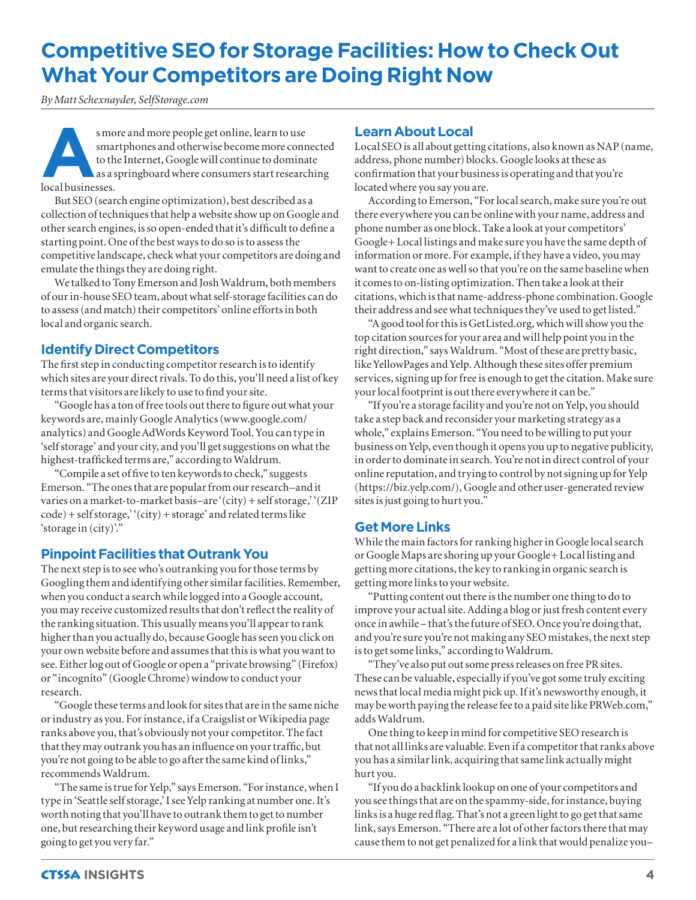# **Competitive SEO for Storage Facilities: How to Check Out What Your Competitors are Doing Right Now**

*By Matt Schexnayder, SelfStorage.com*

s more and more people get online, learn to use<br>smartphones and otherwise become more conn<br>to the Internet, Google will continue to domina<br>as a springboard where consumers start researc<br>local businesses. smartphones and otherwise become more connected to the Internet, Google will continue to dominate as a springboard where consumers start researching local businesses.

But SEO (search engine optimization), best described as a collection of techniques that help a website show up on Google and other search engines, is so open-ended that it's difficult to define a starting point. One of the best ways to do so is to assess the competitive landscape, check what your competitors are doing and emulate the things they are doing right.

We talked to Tony Emerson and Josh Waldrum, both members of our in-house SEO team, about what self-storage facilities can do to assess (and match) their competitors' online efforts in both local and organic search.

#### **Identify Direct Competitors**

The first step in conducting competitor research is to identify which sites are your direct rivals. To do this, you'll need a list of key terms that visitors are likely to use to find your site.

"Google has a ton of free tools out there to figure out what your keywords are, mainly Google Analytics (www.google.com/ analytics) and Google AdWords Keyword Tool. You can type in 'self storage' and your city, and you'll get suggestions on what the highest-trafficked terms are," according to Waldrum.

"Compile a set of five to ten keywords to check," suggests Emerson. "The ones that are popular from our research–and it varies on a market-to-market basis–are '(city) + self storage,' '(ZIP  $code) + selfstorage, '(city) + storage' and related terms like$ 'storage in (city)'."

#### **Pinpoint Facilities that Outrank You**

The next step is to see who's outranking you for those terms by Googling them and identifying other similar facilities. Remember, when you conduct a search while logged into a Google account, you may receive customized results that don't reflect the reality of the ranking situation. This usually means you'll appear to rank higher than you actually do, because Google has seen you click on your own website before and assumes that this is what you want to see. Either log out of Google or open a "private browsing" (Firefox) or "incognito" (Google Chrome) window to conduct your research.

"Google these terms and look for sites that are in the same niche or industry as you. For instance, if a Craigslist or Wikipedia page ranks above you, that's obviously not your competitor. The fact that they may outrank you has an influence on your traffic, but you're not going to be able to go after the same kind of links," recommends Waldrum.

"The same is true for Yelp," says Emerson. "For instance, when I type in 'Seattle self storage,' I see Yelp ranking at number one. It's worth noting that you'll have to outrank them to get to number one, but researching their keyword usage and link profile isn't going to get you very far."

#### **Learn About Local**

Local SEO is all about getting citations, also known as NAP (name, address, phone number) blocks. Google looks at these as confirmation that your business is operating and that you're located where you say you are.

According to Emerson, "For local search, make sure you're out there everywhere you can be online with your name, address and phone number as one block. Take a look at your competitors' Google+ Local listings and make sure you have the same depth of information or more. For example, if they have a video, you may want to create one as well so that you're on the same baseline when it comes to on-listing optimization. Then take a look at their citations, which is that name-address-phone combination. Google their address and see what techniques they've used to get listed."

"A good tool for this is GetListed.org, which will show you the top citation sources for your area and will help point you in the right direction," says Waldrum. "Most of these are pretty basic, like YellowPages and Yelp. Although these sites offer premium services, signing up for free is enough to get the citation. Make sure your local footprint is out there everywhere it can be."

"If you're a storage facility and you're not on Yelp, you should take a step back and reconsider your marketing strategy as a whole," explains Emerson. "You need to be willing to put your business on Yelp, even though it opens you up to negative publicity, in order to dominate in search. You're not in direct control of your online reputation, and trying to control by not signing up for Yelp (https://biz.yelp.com/), Google and other user-generated review sites is just going to hurt you."

#### **Get More Links**

While the main factors for ranking higher in Google local search or Google Maps are shoring up your Google+ Local listing and getting more citations, the key to ranking in organic search is getting more links to your website.

"Putting content out there is the number one thing to do to improve your actual site. Adding a blog or just fresh content every once in awhile – that's the future of SEO. Once you're doing that, and you're sure you're not making any SEO mistakes, the next step is to get some links," according to Waldrum.

"They've also put out some press releases on free PR sites. These can be valuable, especially if you've got some truly exciting news that local media might pick up. If it's newsworthy enough, it may be worth paying the release fee to a paid site like PRWeb.com," adds Waldrum.

One thing to keep in mind for competitive SEO research is that not all links are valuable. Even if a competitor that ranks above you has a similar link, acquiring that same link actually might hurt you.

"If you do a backlink lookup on one of your competitors and you see things that are on the spammy-side, for instance, buying links is a huge red flag. That's not a green light to go get that same link, says Emerson. "There are a lot of other factors there that may cause them to not get penalized for a link that would penalize you–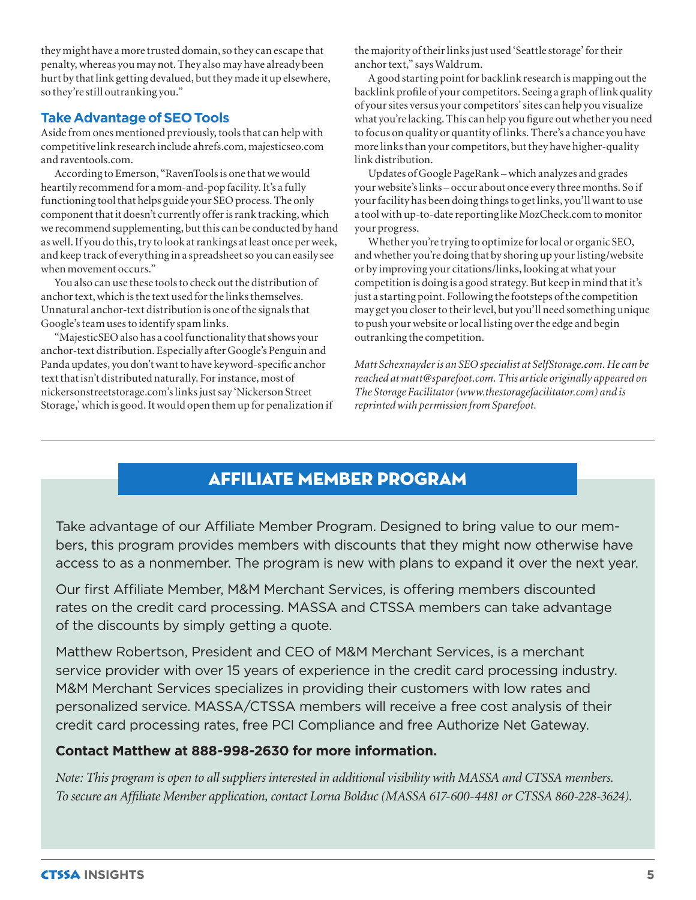they might have a more trusted domain, so they can escape that penalty, whereas you may not. They also may have already been hurt by that link getting devalued, but they made it up elsewhere, so they're still outranking you."

#### **Take Advantage of SEO Tools**

Aside from ones mentioned previously, tools that can help with competitive link research include ahrefs.com, majesticseo.com and raventools.com.

According to Emerson, "RavenTools is one that we would heartily recommend for a mom-and-pop facility. It's a fully functioning tool that helps guide your SEO process. The only component that it doesn't currently offer is rank tracking, which we recommend supplementing, but this can be conducted by hand as well. If you do this, try to look at rankings at least once per week, and keep track of everything in a spreadsheet so you can easily see when movement occurs."

You also can use these tools to check out the distribution of anchor text, which is the text used for the links themselves. Unnatural anchor-text distribution is one of the signals that Google's team uses to identify spam links.

"MajesticSEO also has a cool functionality that shows your anchor-text distribution. Especially after Google's Penguin and Panda updates, you don't want to have keyword-specific anchor text that isn't distributed naturally. For instance, most of nickersonstreetstorage.com's links just say 'Nickerson Street Storage,' which is good. It would open them up for penalization if the majority of their links just used 'Seattle storage' for their anchor text," says Waldrum.

A good starting point for backlink research is mapping out the backlink profile of your competitors. Seeing a graph of link quality of your sites versus your competitors' sites can help you visualize what you're lacking. This can help you figure out whether you need to focus on quality or quantity of links. There's a chance you have more links than your competitors, but they have higher-quality link distribution.

Updates of Google PageRank – which analyzes and grades your website's links – occur about once every three months. So if your facility has been doing things to get links, you'll want to use a tool with up-to-date reporting like MozCheck.com to monitor your progress.

Whether you're trying to optimize for local or organic SEO, and whether you're doing that by shoring up your listing/website or by improving your citations/links, looking at what your competition is doing is a good strategy. But keep in mind that it's just a starting point. Following the footsteps of the competition may get you closer to their level, but you'll need something unique to push your website or local listing over the edge and begin outranking the competition.

*Matt Schexnayder is an SEO specialist at SelfStorage.com. He can be reached at matt@sparefoot.com. This article originally appeared on The Storage Facilitator (www.thestoragefacilitator.com) and is reprinted with permission from Sparefoot.*

## AFFILIATE MEMBER PROGRAM

Take advantage of our Affiliate Member Program. Designed to bring value to our members, this program provides members with discounts that they might now otherwise have access to as a nonmember. The program is new with plans to expand it over the next year.

Our first Affiliate Member, M&M Merchant Services, is offering members discounted rates on the credit card processing. MASSA and CTSSA members can take advantage of the discounts by simply getting a quote.

Matthew Robertson, President and CEO of M&M Merchant Services, is a merchant service provider with over 15 years of experience in the credit card processing industry. M&M Merchant Services specializes in providing their customers with low rates and personalized service. MASSA/CTSSA members will receive a free cost analysis of their credit card processing rates, free PCI Compliance and free Authorize Net Gateway.

#### **Contact Matthew at 888-998-2630 for more information.**

*Note: This program is open to all suppliers interested in additional visibility with MASSA and CTSSA members. To secure an Affiliate Member application, contact Lorna Bolduc (MASSA 617-600-4481 or CTSSA 860-228-3624).*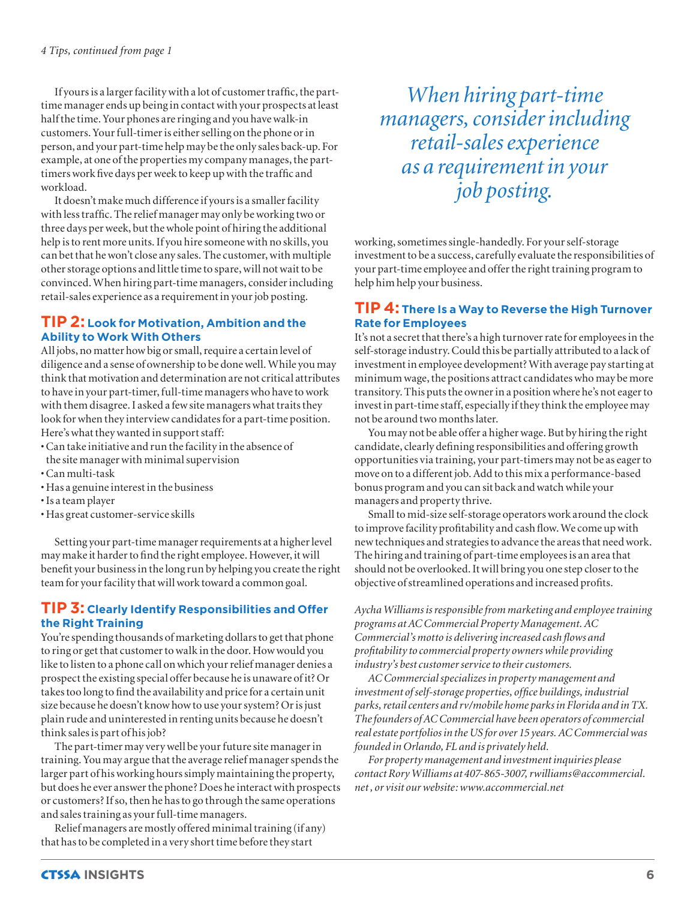If yours is a larger facility with a lot of customer traffic, the parttime manager ends up being in contact with your prospects at least half the time. Your phones are ringing and you have walk-in customers. Your full-timer is either selling on the phone or in person, and your part-time help may be the only sales back-up. For example, at one of the properties my company manages, the parttimers work five days per week to keep up with the traffic and workload.

It doesn't make much difference if yours is a smaller facility with less traffic. The relief manager may only be working two or three days per week, but the whole point of hiring the additional help is to rent more units. If you hire someone with no skills, you can bet that he won't close any sales. The customer, with multiple other storage options and little time to spare, will not wait to be convinced. When hiring part-time managers, consider including retail-sales experience as a requirement in your job posting.

#### **TIP 2: Look for Motivation, Ambition and the Ability to Work With Others**

All jobs, no matter how big or small, require a certain level of diligence and a sense of ownership to be done well. While you may think that motivation and determination are not critical attributes to have in your part-timer, full-time managers who have to work with them disagree. I asked a few site managers what traits they look for when they interview candidates for a part-time position. Here's what they wanted in support staff:

- Can take initiative and run the facility in the absence of
- the site manager with minimal supervision
- Can multi-task
- Has a genuine interest in the business
- Is a team player
- Has great customer-service skills

Setting your part-time manager requirements at a higher level may make it harder to find the right employee. However, it will benefit your business in the long run by helping you create the right team for your facility that will work toward a common goal.

#### **TIP 3: Clearly Identify Responsibilities and Offer the Right Training**

You're spending thousands of marketing dollars to get that phone to ring or get that customer to walk in the door. How would you like to listen to a phone call on which your relief manager denies a prospect the existing special offer because he is unaware of it? Or takes too long to find the availability and price for a certain unit size because he doesn't know how to use your system? Or is just plain rude and uninterested in renting units because he doesn't think sales is part of his job?

The part-timer may very well be your future site manager in training. You may argue that the average relief manager spends the larger part of his working hours simply maintaining the property, but does he ever answer the phone? Does he interact with prospects or customers? If so, then he has to go through the same operations and sales training as your full-time managers.

Relief managers are mostly offered minimal training (if any) that has to be completed in a very short time before they start

*When hiring part-time managers, consider including retail-sales experience as a requirement in your job posting.*

working, sometimes single-handedly. For your self-storage investment to be a success, carefully evaluate the responsibilities of your part-time employee and offer the right training program to help him help your business.

#### **TIP 4: There Is a Way to Reverse the High Turnover Rate for Employees**

It's not a secret that there's a high turnover rate for employees in the self-storage industry. Could this be partially attributed to a lack of investment in employee development? With average pay starting at minimum wage, the positions attract candidates who may be more transitory. This puts the owner in a position where he's not eager to invest in part-time staff, especially if they think the employee may not be around two months later.

You may not be able offer a higher wage. But by hiring the right candidate, clearly defining responsibilities and offering growth opportunities via training, your part-timers may not be as eager to move on to a different job. Add to this mix a performance-based bonus program and you can sit back and watch while your managers and property thrive.

Small to mid-size self-storage operators work around the clock to improve facility profitability and cash flow. We come up with new techniques and strategies to advance the areas that need work. The hiring and training of part-time employees is an area that should not be overlooked. It will bring you one step closer to the objective of streamlined operations and increased profits.

*Aycha Williams is responsible from marketing and employee training programs at AC Commercial Property Management. AC Commercial's motto is delivering increased cash flows and profitability to commercial property owners while providing industry's best customer service to their customers.*

*AC Commercial specializes in property management and investment of self-storage properties, office buildings, industrial parks, retail centers and rv/mobile home parks in Florida and in TX. The founders of AC Commercial have been operators of commercial real estate portfolios in the US for over 15 years. AC Commercial was founded in Orlando, FL and is privately held.* 

*For property management and investment inquiries please contact Rory Williams at 407-865-3007, rwilliams@accommercial. net , or visit our website: www.accommercial.net*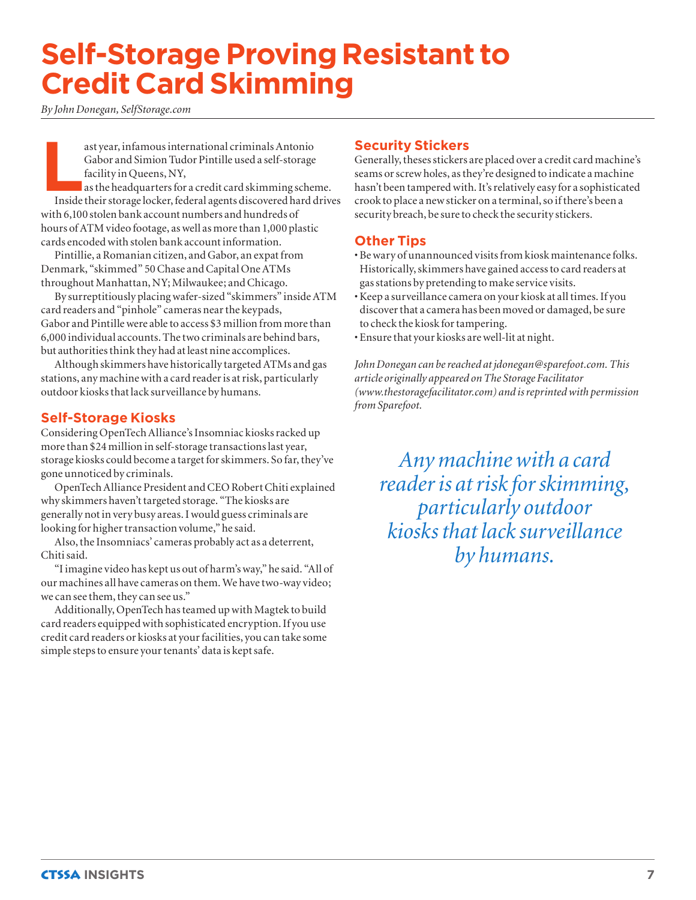# **Self-Storage Proving Resistant to Credit Card Skimming**

*By John Donegan, SelfStorage.com*

ast year, infamous international criminals Antonio<br>Gabor and Simion Tudor Pintille used a self-storage<br>facility in Queens, NY,<br>as the headquarters for a credit card skimming scher<br>Inside their storage locker, federal agent Gabor and Simion Tudor Pintille used a self-storage facility in Queens, NY,

as the headquarters for a credit card skimming scheme. Inside their storage locker, federal agents discovered hard drives with 6,100 stolen bank account numbers and hundreds of hours of ATM video footage, as well as more than 1,000 plastic cards encoded with stolen bank account information.

Pintillie, a Romanian citizen, and Gabor, an expat from Denmark, "skimmed" 50 Chase and Capital One ATMs throughout Manhattan, NY; Milwaukee; and Chicago.

By surreptitiously placing wafer-sized "skimmers" inside ATM card readers and "pinhole" cameras near the keypads, Gabor and Pintille were able to access \$3 million from more than 6,000 individual accounts. The two criminals are behind bars, but authorities think they had at least nine accomplices.

Although skimmers have historically targeted ATMs and gas stations, any machine with a card reader is at risk, particularly outdoor kiosks that lack surveillance by humans.

#### **Self-Storage Kiosks**

Considering OpenTech Alliance's Insomniac kiosks racked up more than \$24 million in self-storage transactions last year, storage kiosks could become a target for skimmers. So far, they've gone unnoticed by criminals.

OpenTech Alliance President and CEO Robert Chiti explained why skimmers haven't targeted storage. "The kiosks are generally not in very busy areas. I would guess criminals are looking for higher transaction volume," he said.

Also, the Insomniacs' cameras probably act as a deterrent, Chiti said.

"I imagine video has kept us out of harm's way," he said. "All of our machines all have cameras on them. We have two-way video; we can see them, they can see us."

Additionally, OpenTech has teamed up with Magtek to build card readers equipped with sophisticated encryption. If you use credit card readers or kiosks at your facilities, you can take some simple steps to ensure your tenants' data is kept safe.

#### **Security Stickers**

Generally, theses stickers are placed over a credit card machine's seams or screw holes, as they're designed to indicate a machine hasn't been tampered with. It's relatively easy for a sophisticated crook to place a new sticker on a terminal, so if there's been a security breach, be sure to check the security stickers.

#### **Other Tips**

- Be wary of unannounced visits from kiosk maintenance folks. Historically, skimmers have gained access to card readers at gas stations by pretending to make service visits.
- Keep a surveillance camera on your kiosk at all times. If you discover that a camera has been moved or damaged, be sure to check the kiosk for tampering.
- Ensure that your kiosks are well-lit at night.

*John Donegan can be reached at jdonegan@sparefoot.com. This article originally appeared on The Storage Facilitator (www.thestoragefacilitator.com) and is reprinted with permission from Sparefoot.*

*Any machine with a card reader is at risk for skimming, particularly outdoor kiosks that lack surveillance by humans.*